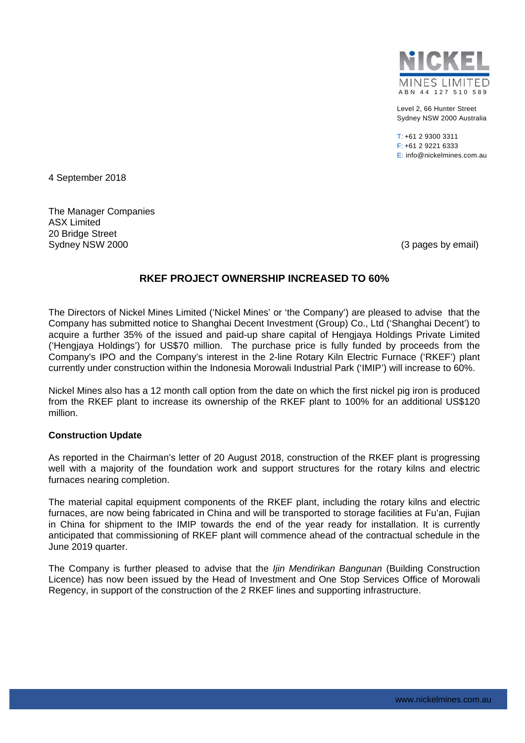

Level 2, 66 Hunter Street Sydney NSW 2000 Australia

T: +61 2 9300 3311 F: +61 2 9221 6333 E: info@nickelmines.com.au

4 September 2018

The Manager Companies ASX Limited 20 Bridge Street Sydney NSW 2000 (3 pages by email)

# **RKEF PROJECT OWNERSHIP INCREASED TO 60%**

The Directors of Nickel Mines Limited ('Nickel Mines' or 'the Company') are pleased to advise that the Company has submitted notice to Shanghai Decent Investment (Group) Co., Ltd ('Shanghai Decent') to acquire a further 35% of the issued and paid-up share capital of Hengjaya Holdings Private Limited ('Hengjaya Holdings') for US\$70 million. The purchase price is fully funded by proceeds from the Company's IPO and the Company's interest in the 2-line Rotary Kiln Electric Furnace ('RKEF') plant currently under construction within the Indonesia Morowali Industrial Park ('IMIP') will increase to 60%.

Nickel Mines also has a 12 month call option from the date on which the first nickel pig iron is produced from the RKEF plant to increase its ownership of the RKEF plant to 100% for an additional US\$120 million.

## **Construction Update**

As reported in the Chairman's letter of 20 August 2018, construction of the RKEF plant is progressing well with a majority of the foundation work and support structures for the rotary kilns and electric furnaces nearing completion.

The material capital equipment components of the RKEF plant, including the rotary kilns and electric furnaces, are now being fabricated in China and will be transported to storage facilities at Fu'an, Fujian in China for shipment to the IMIP towards the end of the year ready for installation. It is currently anticipated that commissioning of RKEF plant will commence ahead of the contractual schedule in the June 2019 quarter.

The Company is further pleased to advise that the *Ijin Mendirikan Bangunan* (Building Construction Licence) has now been issued by the Head of Investment and One Stop Services Office of Morowali Regency, in support of the construction of the 2 RKEF lines and supporting infrastructure.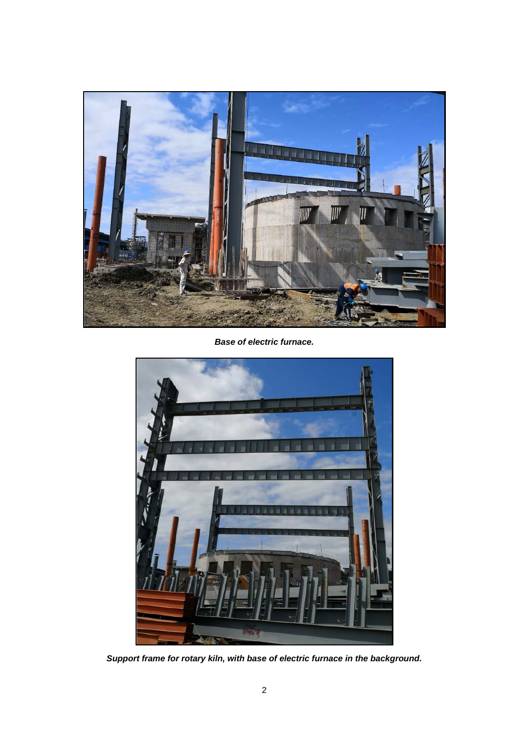

*Base of electric furnace.* 



*Support frame for rotary kiln, with base of electric furnace in the background.*